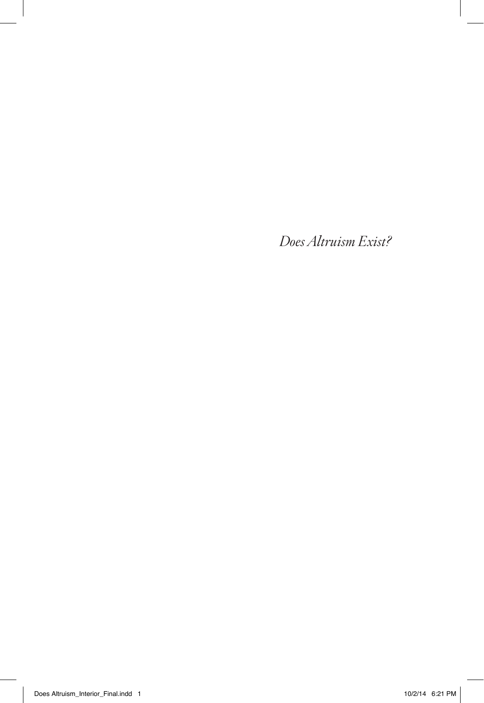*Does Altruism Exist?*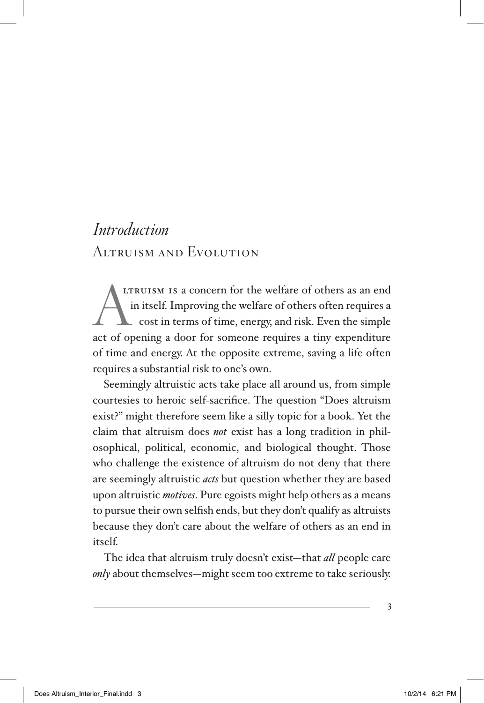## *Introduction* ALTRUISM AND EVOLUTION

LITRUISM IS a concern for the welfare of others as an end<br>in itself. Improving the welfare of others often requires a<br>cost in terms of time, energy, and risk. Even the simple<br>act of opening a door for someone requires a ti LTRUISM IS a concern for the welfare of others as an end in itself. Improving the welfare of others often requires a  $\sim$  cost in terms of time, energy, and risk. Even the simple of time and energy. At the opposite extreme, saving a life often requires a substantial risk to one's own.

Seemingly altruistic acts take place all around us, from simple courtesies to heroic self-sacrifice. The question "Does altruism exist?" might therefore seem like a silly topic for a book. Yet the claim that altruism does *not* exist has a long tradition in philosophical, political, economic, and biological thought. Those who challenge the existence of altruism do not deny that there are seemingly altruistic *acts* but question whether they are based upon altruistic *motives*. Pure egoists might help others as a means to pursue their own selfish ends, but they don't qualify as altruists because they don't care about the welfare of others as an end in itself.

The idea that altruism truly doesn't exist—that *all* people care *only* about themselves—might seem too extreme to take seriously.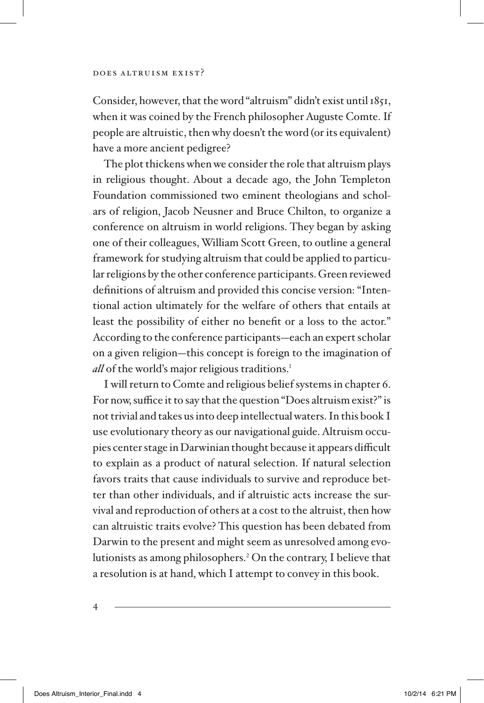Consider, however, that the word "altruism" didn't exist until 1851, when it was coined by the French philosopher Auguste Comte. If people are altruistic, then why doesn't the word (or its equivalent) have a more ancient pedigree?

The plot thickens when we consider the role that altruism plays in religious thought. About a decade ago, the John Templeton Foundation commissioned two eminent theologians and scholars of religion, Jacob Neusner and Bruce Chilton, to organize a conference on altruism in world religions. They began by asking one of their colleagues, William Scott Green, to outline a general framework for studying altruism that could be applied to particular religions by the other conference participants. Green reviewed definitions of altruism and provided this concise version: "Intentional action ultimately for the welfare of others that entails at least the possibility of either no benefit or a loss to the actor." According to the conference participants—each an expert scholar on a given religion—this concept is foreign to the imagination of *all* of the world's major religious traditions.<sup>1</sup>

I will return to Comte and religious belief systems in chapter 6. For now, suffice it to say that the question "Does altruism exist?" is not trivial and takes us into deep intellectual waters. In this book I use evolutionary theory as our navigational guide. Altruism occupies center stage in Darwinian thought because it appears difficult to explain as a product of natural selection. If natural selection favors traits that cause individuals to survive and reproduce better than other individuals, and if altruistic acts increase the survival and reproduction of others at a cost to the altruist, then how can altruistic traits evolve? This question has been debated from Darwin to the present and might seem as unresolved among evolutionists as among philosophers.2 On the contrary, I believe that a resolution is at hand, which I attempt to convey in this book.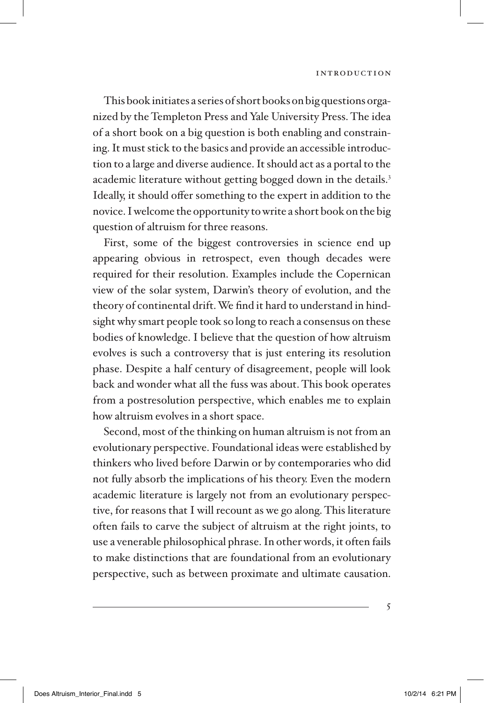This book initiates a series of short books on big questions organized by the Templeton Press and Yale University Press. The idea of a short book on a big question is both enabling and constraining. It must stick to the basics and provide an accessible introduction to a large and diverse audience. It should act as a portal to the academic literature without getting bogged down in the details.<sup>3</sup> Ideally, it should offer something to the expert in addition to the novice. I welcome the opportunity to write a short book on the big question of altruism for three reasons.

First, some of the biggest controversies in science end up appearing obvious in retrospect, even though decades were required for their resolution. Examples include the Copernican view of the solar system, Darwin's theory of evolution, and the theory of continental drift. We find it hard to understand in hindsight why smart people took so long to reach a consensus on these bodies of knowledge. I believe that the question of how altruism evolves is such a controversy that is just entering its resolution phase. Despite a half century of disagreement, people will look back and wonder what all the fuss was about. This book operates from a postresolution perspective, which enables me to explain how altruism evolves in a short space.

Second, most of the thinking on human altruism is not from an evolutionary perspective. Foundational ideas were established by thinkers who lived before Darwin or by contemporaries who did not fully absorb the implications of his theory. Even the modern academic literature is largely not from an evolutionary perspective, for reasons that I will recount as we go along. This literature often fails to carve the subject of altruism at the right joints, to use a venerable philosophical phrase. In other words, it often fails to make distinctions that are foundational from an evolutionary perspective, such as between proximate and ultimate causation.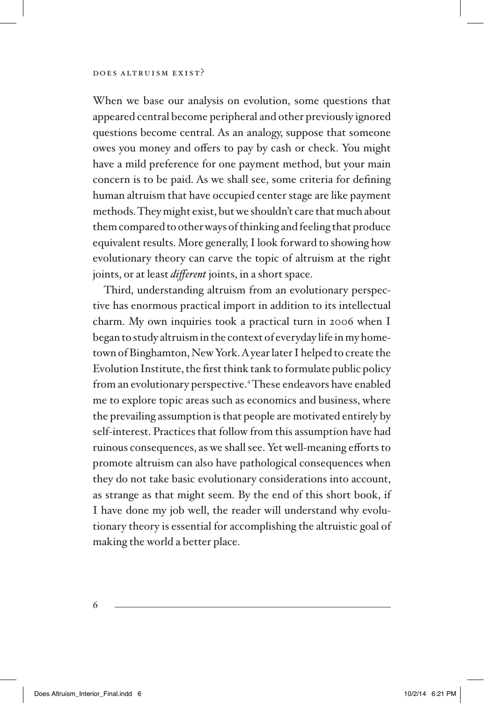When we base our analysis on evolution, some questions that appeared central become peripheral and other previously ignored questions become central. As an analogy, suppose that someone owes you money and offers to pay by cash or check. You might have a mild preference for one payment method, but your main concern is to be paid. As we shall see, some criteria for defining human altruism that have occupied center stage are like payment methods. They might exist, but we shouldn't care that much about them compared to other ways of thinking and feeling that produce equivalent results. More generally, I look forward to showing how evolutionary theory can carve the topic of altruism at the right joints, or at least *different* joints, in a short space.

Third, understanding altruism from an evolutionary perspective has enormous practical import in addition to its intellectual charm. My own inquiries took a practical turn in 2006 when I began to study altruism in the context of everyday life in my hometown of Binghamton, New York. A year later I helped to create the Evolution Institute, the first think tank to formulate public policy from an evolutionary perspective.<sup>4</sup> These endeavors have enabled me to explore topic areas such as economics and business, where the prevailing assumption is that people are motivated entirely by self-interest. Practices that follow from this assumption have had ruinous consequences, as we shall see. Yet well-meaning efforts to promote altruism can also have pathological consequences when they do not take basic evolutionary considerations into account, as strange as that might seem. By the end of this short book, if I have done my job well, the reader will understand why evolutionary theory is essential for accomplishing the altruistic goal of making the world a better place.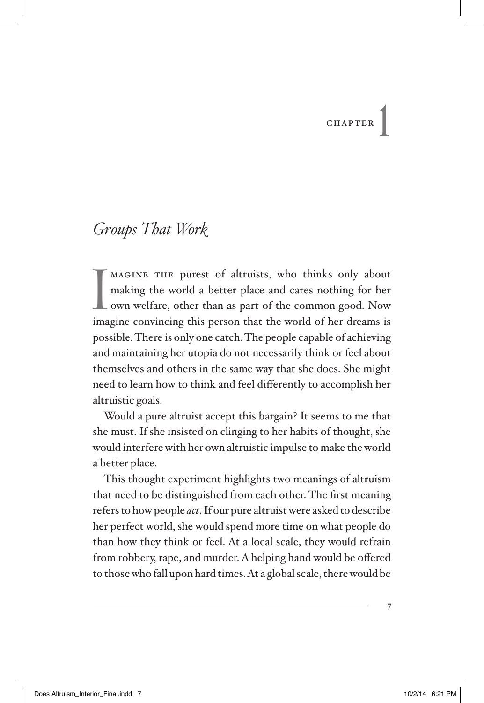## **CHAPTER**

## *Groups That Work*

MAGINE THE purest of altruists, who thinks only about<br>making the world a better place and cares nothing for her<br>own welfare, other than as part of the common good. Now MAGINE THE purest of altruists, who thinks only about making the world a better place and cares nothing for her imagine convincing this person that the world of her dreams is possible. There is only one catch. The people capable of achieving and maintaining her utopia do not necessarily think or feel about themselves and others in the same way that she does. She might need to learn how to think and feel differently to accomplish her altruistic goals.

Would a pure altruist accept this bargain? It seems to me that she must. If she insisted on clinging to her habits of thought, she would interfere with her own altruistic impulse to make the world a better place.

This thought experiment highlights two meanings of altruism that need to be distinguished from each other. The first meaning refers to how people *act*. If our pure altruist were asked to describe her perfect world, she would spend more time on what people do than how they think or feel. At a local scale, they would refrain from robbery, rape, and murder. A helping hand would be offered to those who fall upon hard times. At a global scale, there would be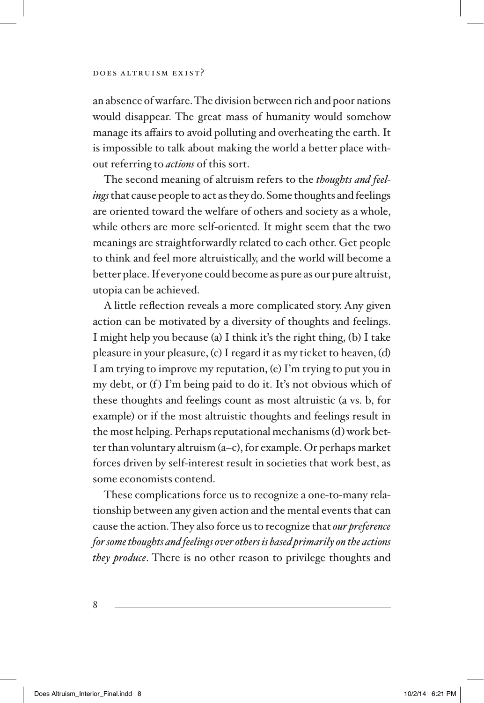an absence of warfare. The division between rich and poor nations would disappear. The great mass of humanity would somehow manage its affairs to avoid polluting and overheating the earth. It is impossible to talk about making the world a better place without referring to *actions* of this sort.

The second meaning of altruism refers to the *thoughts and feelings* that cause people to act as they do. Some thoughts and feelings are oriented toward the welfare of others and society as a whole, while others are more self-oriented. It might seem that the two meanings are straightforwardly related to each other. Get people to think and feel more altruistically, and the world will become a better place. If everyone could become as pure as our pure altruist, utopia can be achieved.

A little reflection reveals a more complicated story. Any given action can be motivated by a diversity of thoughts and feelings. I might help you because (a) I think it's the right thing, (b) I take pleasure in your pleasure, (c) I regard it as my ticket to heaven, (d) I am trying to improve my reputation, (e) I'm trying to put you in my debt, or (f) I'm being paid to do it. It's not obvious which of these thoughts and feelings count as most altruistic (a vs. b, for example) or if the most altruistic thoughts and feelings result in the most helping. Perhaps reputational mechanisms (d) work better than voluntary altruism (a–c), for example. Or perhaps market forces driven by self-interest result in societies that work best, as some economists contend.

These complications force us to recognize a one-to-many relationship between any given action and the mental events that can cause the action. They also force us to recognize that *our preference for some thoughts and feelings over others is based primarily on the actions they produce*. There is no other reason to privilege thoughts and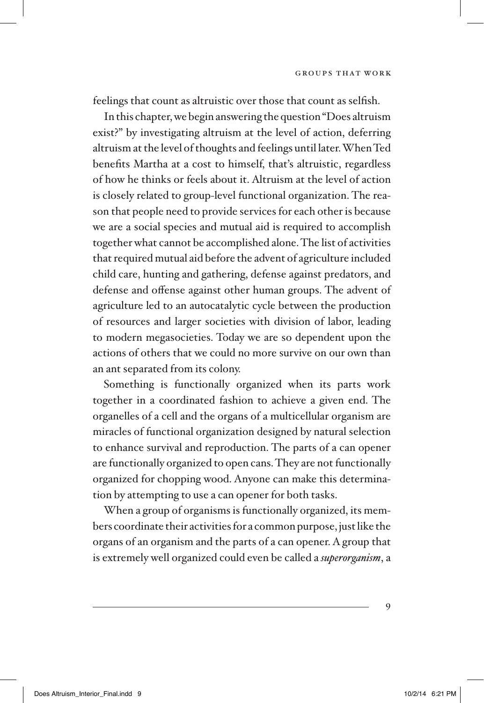feelings that count as altruistic over those that count as selfish.

In this chapter, we begin answering the question "Does altruism exist?" by investigating altruism at the level of action, deferring altruism at the level of thoughts and feelings until later. When Ted benefits Martha at a cost to himself, that's altruistic, regardless of how he thinks or feels about it. Altruism at the level of action is closely related to group-level functional organization. The reason that people need to provide services for each other is because we are a social species and mutual aid is required to accomplish together what cannot be accomplished alone. The list of activities that required mutual aid before the advent of agriculture included child care, hunting and gathering, defense against predators, and defense and offense against other human groups. The advent of agriculture led to an autocatalytic cycle between the production of resources and larger societies with division of labor, leading to modern megasocieties. Today we are so dependent upon the actions of others that we could no more survive on our own than an ant separated from its colony.

Something is functionally organized when its parts work together in a coordinated fashion to achieve a given end. The organelles of a cell and the organs of a multicellular organism are miracles of functional organization designed by natural selection to enhance survival and reproduction. The parts of a can opener are functionally organized to open cans. They are not functionally organized for chopping wood. Anyone can make this determination by attempting to use a can opener for both tasks.

When a group of organisms is functionally organized, its members coordinate their activities for a common purpose, just like the organs of an organism and the parts of a can opener. A group that is extremely well organized could even be called a *superorganism*, a

9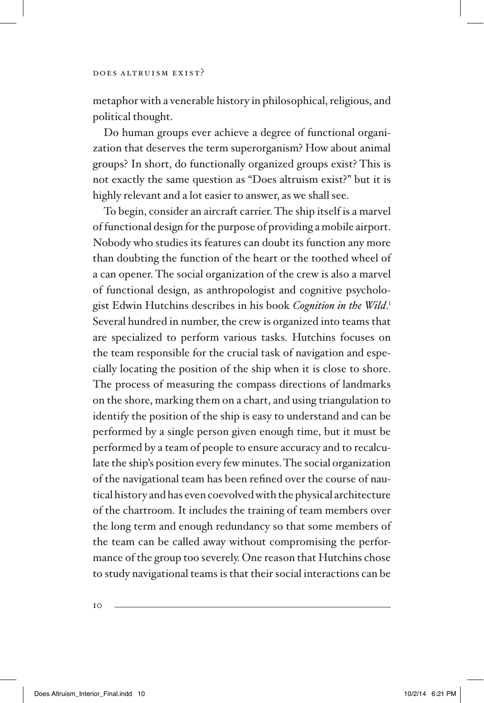metaphor with a venerable history in philosophical, religious, and political thought.

Do human groups ever achieve a degree of functional organization that deserves the term superorganism? How about animal groups? In short, do functionally organized groups exist? This is not exactly the same question as "Does altruism exist?" but it is highly relevant and a lot easier to answer, as we shall see.

To begin, consider an aircraft carrier. The ship itself is a marvel of functional design for the purpose of providing a mobile airport. Nobody who studies its features can doubt its function any more than doubting the function of the heart or the toothed wheel of a can opener. The social organization of the crew is also a marvel of functional design, as anthropologist and cognitive psychologist Edwin Hutchins describes in his book *Cognition in the Wild*. 1 Several hundred in number, the crew is organized into teams that are specialized to perform various tasks. Hutchins focuses on the team responsible for the crucial task of navigation and especially locating the position of the ship when it is close to shore. The process of measuring the compass directions of landmarks on the shore, marking them on a chart, and using triangulation to identify the position of the ship is easy to understand and can be performed by a single person given enough time, but it must be performed by a team of people to ensure accuracy and to recalculate the ship's position every few minutes. The social organization of the navigational team has been refined over the course of nautical history and has even coevolved with the physical architecture of the chartroom. It includes the training of team members over the long term and enough redundancy so that some members of the team can be called away without compromising the performance of the group too severely. One reason that Hutchins chose to study navigational teams is that their social interactions can be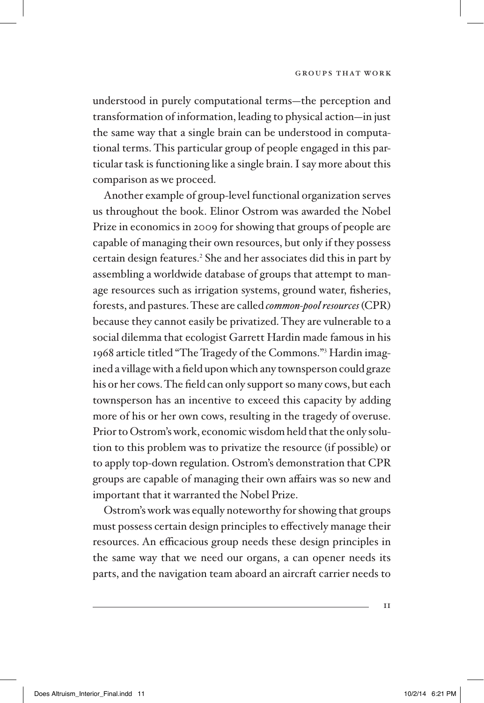understood in purely computational terms—the perception and transformation of information, leading to physical action—in just the same way that a single brain can be understood in computational terms. This particular group of people engaged in this particular task is functioning like a single brain. I say more about this comparison as we proceed.

Another example of group-level functional organization serves us throughout the book. Elinor Ostrom was awarded the Nobel Prize in economics in 2009 for showing that groups of people are capable of managing their own resources, but only if they possess certain design features.<sup>2</sup> She and her associates did this in part by assembling a worldwide database of groups that attempt to manage resources such as irrigation systems, ground water, fisheries, forests, and pastures. These are called *common-pool resources* (CPR) because they cannot easily be privatized. They are vulnerable to a social dilemma that ecologist Garrett Hardin made famous in his 1968 article titled "The Tragedy of the Commons."3 Hardin imagined a village with a field upon which any townsperson could graze his or her cows. The field can only support so many cows, but each townsperson has an incentive to exceed this capacity by adding more of his or her own cows, resulting in the tragedy of overuse. Prior to Ostrom's work, economic wisdom held that the only solution to this problem was to privatize the resource (if possible) or to apply top-down regulation. Ostrom's demonstration that CPR groups are capable of managing their own affairs was so new and important that it warranted the Nobel Prize.

Ostrom's work was equally noteworthy for showing that groups must possess certain design principles to effectively manage their resources. An efficacious group needs these design principles in the same way that we need our organs, a can opener needs its parts, and the navigation team aboard an aircraft carrier needs to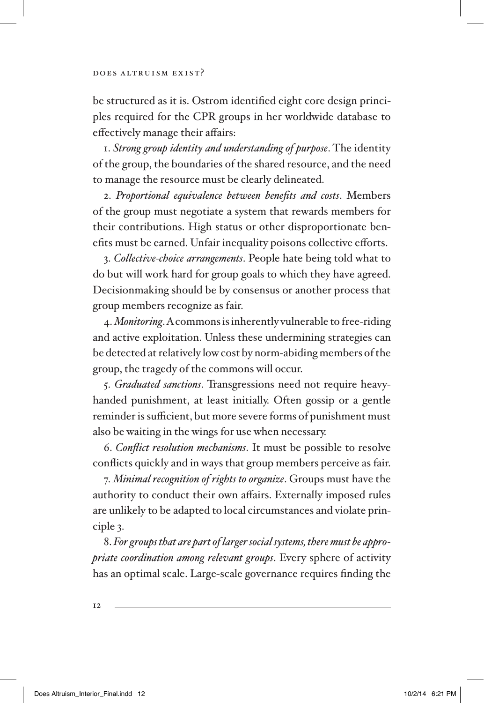be structured as it is. Ostrom identified eight core design principles required for the CPR groups in her worldwide database to effectively manage their affairs:

1. *Strong group identity and understanding of purpose*. The identity of the group, the boundaries of the shared resource, and the need to manage the resource must be clearly delineated.

2. *Proportional equivalence between benefits and costs*. Members of the group must negotiate a system that rewards members for their contributions. High status or other disproportionate benefits must be earned. Unfair inequality poisons collective efforts.

3. *Collective-choice arrangements*. People hate being told what to do but will work hard for group goals to which they have agreed. Decisionmaking should be by consensus or another process that group members recognize as fair.

4. *Monitoring*. A commons is inherently vulnerable to free-riding and active exploitation. Unless these undermining strategies can be detected at relatively low cost by norm-abiding members of the group, the tragedy of the commons will occur.

5. *Graduated sanctions*. Transgressions need not require heavyhanded punishment, at least initially. Often gossip or a gentle reminder is sufficient, but more severe forms of punishment must also be waiting in the wings for use when necessary.

6. *Conflict resolution mechanisms*. It must be possible to resolve conflicts quickly and in ways that group members perceive as fair.

7. *Minimal recognition of rights to organize*. Groups must have the authority to conduct their own affairs. Externally imposed rules are unlikely to be adapted to local circumstances and violate principle 3.

8. *For groups that are part of larger social systems, there must be appropriate coordination among relevant groups*. Every sphere of activity has an optimal scale. Large-scale governance requires finding the

12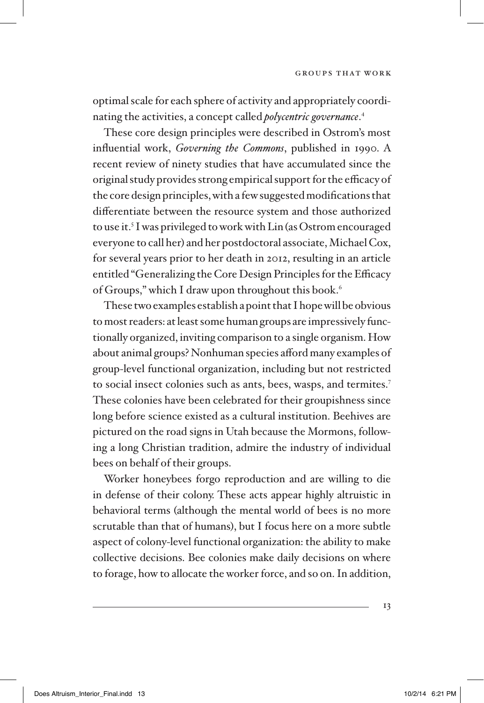optimal scale for each sphere of activity and appropriately coordinating the activities, a concept called *polycentric governance*. 4

These core design principles were described in Ostrom's most influential work, *Governing the Commons*, published in 1990. A recent review of ninety studies that have accumulated since the original study provides strong empirical support for the efficacy of the core design principles, with a few suggested modifications that differentiate between the resource system and those authorized to use it.5 I was privileged to work with Lin (as Ostrom encouraged everyone to call her) and her postdoctoral associate, Michael Cox, for several years prior to her death in 2012, resulting in an article entitled "Generalizing the Core Design Principles for the Efficacy of Groups," which I draw upon throughout this book.<sup>6</sup>

These two examples establish a point that I hope will be obvious to most readers: at least some human groups are impressively functionally organized, inviting comparison to a single organism. How about animal groups? Nonhuman species afford many examples of group-level functional organization, including but not restricted to social insect colonies such as ants, bees, wasps, and termites.<sup>7</sup> These colonies have been celebrated for their groupishness since long before science existed as a cultural institution. Beehives are pictured on the road signs in Utah because the Mormons, following a long Christian tradition, admire the industry of individual bees on behalf of their groups.

Worker honeybees forgo reproduction and are willing to die in defense of their colony. These acts appear highly altruistic in behavioral terms (although the mental world of bees is no more scrutable than that of humans), but I focus here on a more subtle aspect of colony-level functional organization: the ability to make collective decisions. Bee colonies make daily decisions on where to forage, how to allocate the worker force, and so on. In addition,

13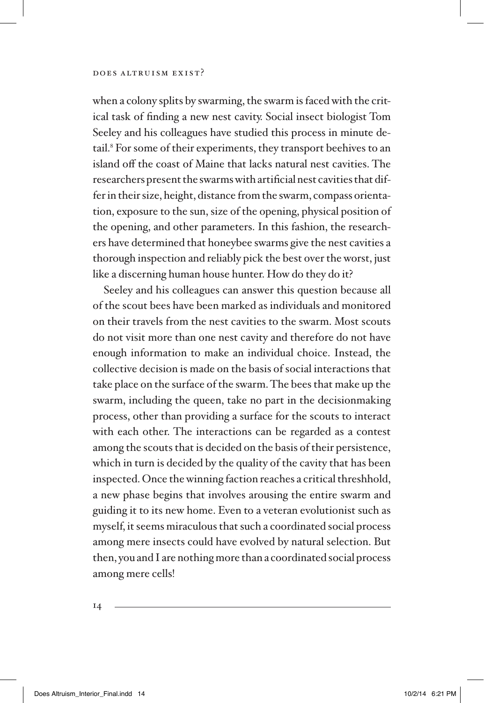when a colony splits by swarming, the swarm is faced with the critical task of finding a new nest cavity. Social insect biologist Tom Seeley and his colleagues have studied this process in minute detail.8 For some of their experiments, they transport beehives to an island off the coast of Maine that lacks natural nest cavities. The researchers present the swarms with artificial nest cavities that differ in their size, height, distance from the swarm, compass orientation, exposure to the sun, size of the opening, physical position of the opening, and other parameters. In this fashion, the researchers have determined that honeybee swarms give the nest cavities a thorough inspection and reliably pick the best over the worst, just like a discerning human house hunter. How do they do it?

Seeley and his colleagues can answer this question because all of the scout bees have been marked as individuals and monitored on their travels from the nest cavities to the swarm. Most scouts do not visit more than one nest cavity and therefore do not have enough information to make an individual choice. Instead, the collective decision is made on the basis of social interactions that take place on the surface of the swarm. The bees that make up the swarm, including the queen, take no part in the decisionmaking process, other than providing a surface for the scouts to interact with each other. The interactions can be regarded as a contest among the scouts that is decided on the basis of their persistence, which in turn is decided by the quality of the cavity that has been inspected. Once the winning faction reaches a critical threshhold, a new phase begins that involves arousing the entire swarm and guiding it to its new home. Even to a veteran evolutionist such as myself, it seems miraculous that such a coordinated social process among mere insects could have evolved by natural selection. But then, you and I are nothing more than a coordinated social process among mere cells!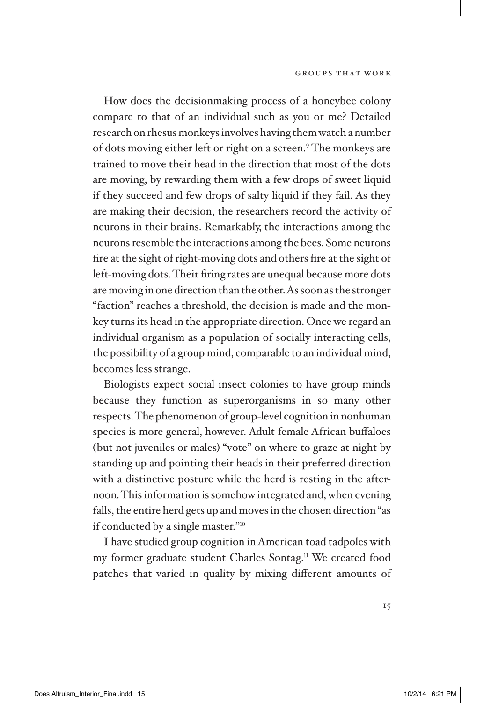How does the decisionmaking process of a honeybee colony compare to that of an individual such as you or me? Detailed research on rhesus monkeys involves having them watch a number of dots moving either left or right on a screen.<sup>9</sup> The monkeys are trained to move their head in the direction that most of the dots are moving, by rewarding them with a few drops of sweet liquid if they succeed and few drops of salty liquid if they fail. As they are making their decision, the researchers record the activity of neurons in their brains. Remarkably, the interactions among the neurons resemble the interactions among the bees. Some neurons fire at the sight of right-moving dots and others fire at the sight of left-moving dots. Their firing rates are unequal because more dots are moving in one direction than the other. As soon as the stronger "faction" reaches a threshold, the decision is made and the monkey turns its head in the appropriate direction. Once we regard an individual organism as a population of socially interacting cells, the possibility of a group mind, comparable to an individual mind, becomes less strange.

Biologists expect social insect colonies to have group minds because they function as superorganisms in so many other respects. The phenomenon of group-level cognition in nonhuman species is more general, however. Adult female African buffaloes ( but not juveniles or males) "vote" on where to graze at night by standing up and pointing their heads in their preferred direction with a distinctive posture while the herd is resting in the afternoon. This information is somehow integrated and, when evening falls, the entire herd gets up and moves in the chosen direction "as if conducted by a single master."10

I have studied group cognition in American toad tadpoles with my former graduate student Charles Sontag.11 We created food patches that varied in quality by mixing different amounts of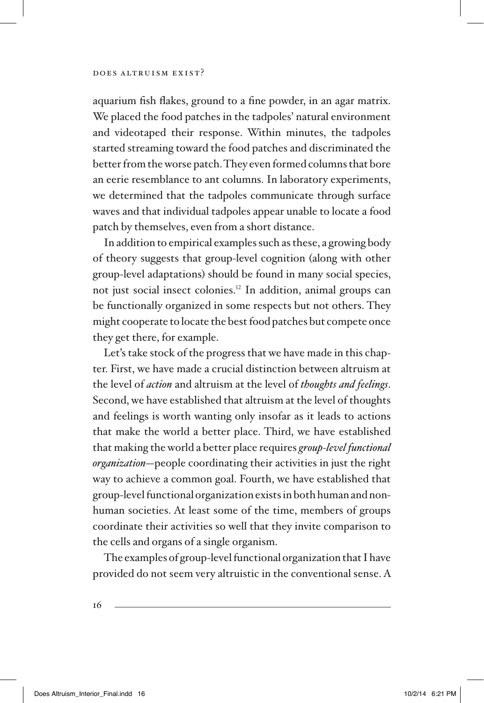aquarium fish flakes, ground to a fine powder, in an agar matrix. We placed the food patches in the tadpoles' natural environment and videotaped their response. Within minutes, the tadpoles started streaming toward the food patches and discriminated the better from the worse patch. They even formed columns that bore an eerie resemblance to ant columns. In laboratory experiments, we determined that the tadpoles communicate through surface waves and that individual tadpoles appear unable to locate a food patch by themselves, even from a short distance.

In addition to empirical examples such as these, a growing body of theory suggests that group-level cognition (along with other group-level adaptations) should be found in many social species, not just social insect colonies.12 In addition, animal groups can be functionally organized in some respects but not others. They might cooperate to locate the best food patches but compete once they get there, for example.

Let's take stock of the progress that we have made in this chapter. First, we have made a crucial distinction between altruism at the level of *action* and altruism at the level of *thoughts and feelings*. Second, we have established that altruism at the level of thoughts and feelings is worth wanting only insofar as it leads to actions that make the world a better place. Third, we have established that making the world a better place requires *group-level functional organization*—people coordinating their activities in just the right way to achieve a common goal. Fourth, we have established that group-level functional organization exists in both human and nonhuman societies. At least some of the time, members of groups coordinate their activities so well that they invite comparison to the cells and organs of a single organism.

The examples of group-level functional organization that I have provided do not seem very altruistic in the conventional sense. A